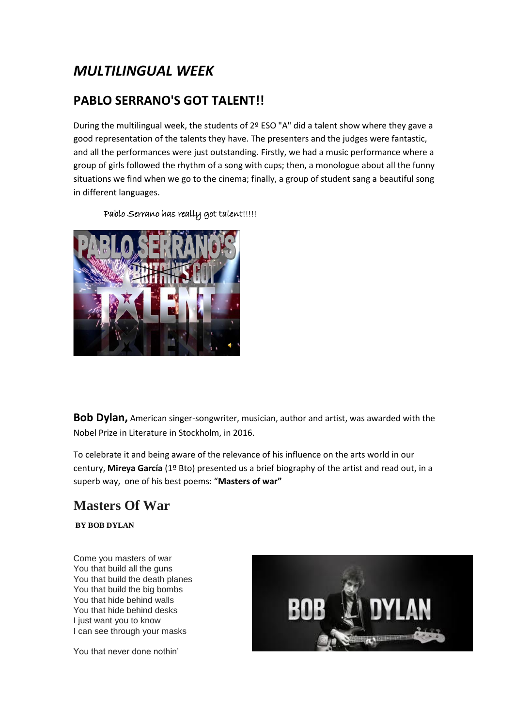# *MULTILINGUAL WEEK*

### **PABLO SERRANO'S GOT TALENT!!**

During the multilingual week, the students of 2º ESO "A" did a talent show where they gave a good representation of the talents they have. The presenters and the judges were fantastic, and all the performances were just outstanding. Firstly, we had a music performance where a group of girls followed the rhythm of a song with cups; then, a monologue about all the funny situations we find when we go to the cinema; finally, a group of student sang a beautiful song in different languages.



Pablo Serrano has really got talent!!!!!

**Bob Dylan,** American singer-songwriter, musician, author and artist, was awarded with the Nobel Prize in Literature in Stockholm, in 2016.

To celebrate it and being aware of the relevance of his influence on the arts world in our century, **Mireya García** (1º Bto) presented us a brief biography of the artist and read out, in a superb way, one of his best poems: "**Masters of war"**

## **Masters Of War**

**BY BOB DYLAN**

Come you masters of war You that build all the guns You that build the death planes You that build the big bombs You that hide behind walls You that hide behind desks I just want you to know I can see through your masks

You that never done nothin'

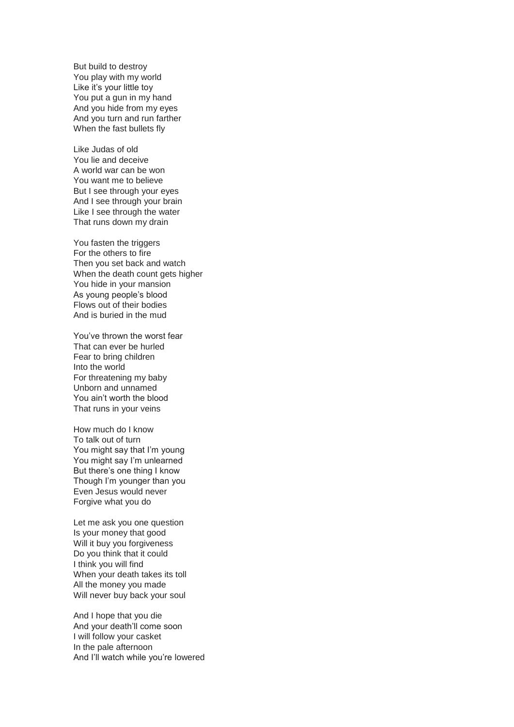But build to destroy You play with my world Like it's your little toy You put a gun in my hand And you hide from my eyes And you turn and run farther When the fast bullets fly

Like Judas of old You lie and deceive A world war can be won You want me to believe But I see through your eyes And I see through your brain Like I see through the water That runs down my drain

You fasten the triggers For the others to fire Then you set back and watch When the death count gets higher You hide in your mansion As young people's blood Flows out of their bodies And is buried in the mud

You've thrown the worst fear That can ever be hurled Fear to bring children Into the world For threatening my baby Unborn and unnamed You ain't worth the blood That runs in your veins

How much do I know To talk out of turn You might say that I'm young You might say I'm unlearned But there's one thing I know Though I'm younger than you Even Jesus would never Forgive what you do

Let me ask you one question Is your money that good Will it buy you forgiveness Do you think that it could I think you will find When your death takes its toll All the money you made Will never buy back your soul

And I hope that you die And your death'll come soon I will follow your casket In the pale afternoon And I'll watch while you're lowered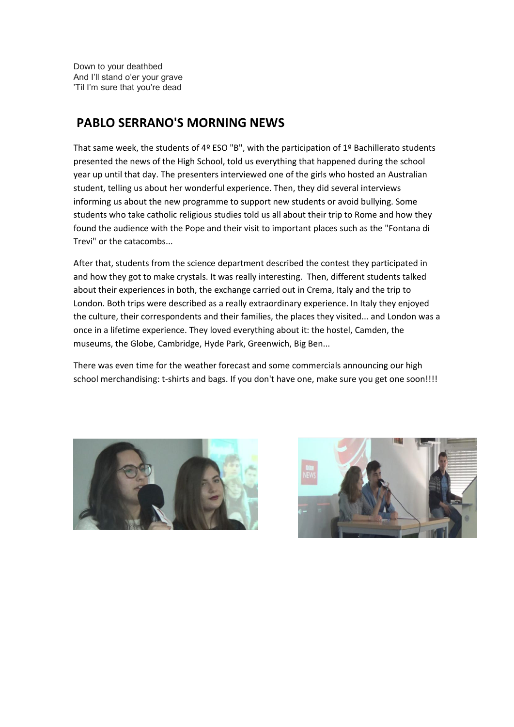Down to your deathbed And I'll stand o'er your grave 'Til I'm sure that you're dead

#### **PABLO SERRANO'S MORNING NEWS**

That same week, the students of 4º ESO "B", with the participation of 1º Bachillerato students presented the news of the High School, told us everything that happened during the school year up until that day. The presenters interviewed one of the girls who hosted an Australian student, telling us about her wonderful experience. Then, they did several interviews informing us about the new programme to support new students or avoid bullying. Some students who take catholic religious studies told us all about their trip to Rome and how they found the audience with the Pope and their visit to important places such as the "Fontana di Trevi" or the catacombs...

After that, students from the science department described the contest they participated in and how they got to make crystals. It was really interesting. Then, different students talked about their experiences in both, the exchange carried out in Crema, Italy and the trip to London. Both trips were described as a really extraordinary experience. In Italy they enjoyed the culture, their correspondents and their families, the places they visited... and London was a once in a lifetime experience. They loved everything about it: the hostel, Camden, the museums, the Globe, Cambridge, Hyde Park, Greenwich, Big Ben...

There was even time for the weather forecast and some commercials announcing our high school merchandising: t-shirts and bags. If you don't have one, make sure you get one soon!!!!